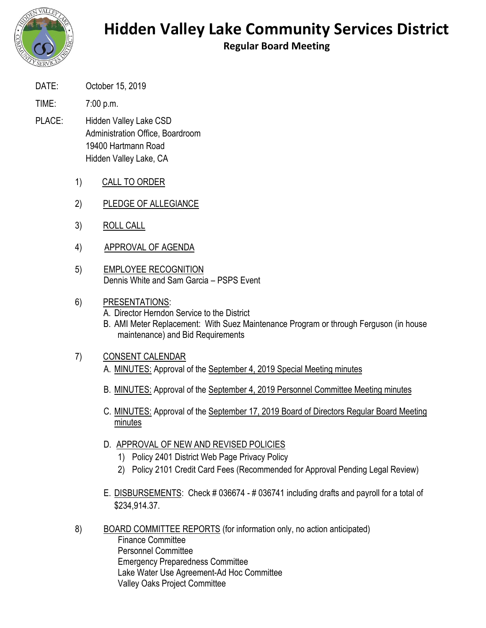

## **Hidden Valley Lake Community Services District**

**Regular Board Meeting**

- DATE: October 15, 2019
- TIME: 7:00 p.m.
- PLACE: Hidden Valley Lake CSD Administration Office, Boardroom 19400 Hartmann Road Hidden Valley Lake, CA
	- 1) CALL TO ORDER
	- 2) PLEDGE OF ALLEGIANCE
	- 3) ROLL CALL
	- 4) APPROVAL OF AGENDA
	- 5) EMPLOYEE RECOGNITION Dennis White and Sam Garcia – PSPS Event
	- 6) PRESENTATIONS:
		- A. Director Herndon Service to the District
		- B. AMI Meter Replacement: With Suez Maintenance Program or through Ferguson (in house maintenance) and Bid Requirements

## 7) CONSENT CALENDAR

- A. MINUTES: Approval of the September 4, 2019 Special Meeting minutes
- B. MINUTES: Approval of the September 4, 2019 Personnel Committee Meeting minutes
- C. MINUTES: Approval of the September 17, 2019 Board of Directors Regular Board Meeting minutes
- D. APPROVAL OF NEW AND REVISED POLICIES
	- 1) Policy 2401 District Web Page Privacy Policy
	- 2) Policy 2101 Credit Card Fees (Recommended for Approval Pending Legal Review)
- E. DISBURSEMENTS: Check # 036674 # 036741 including drafts and payroll for a total of \$234,914.37.
- 8) BOARD COMMITTEE REPORTS (for information only, no action anticipated) Finance Committee Personnel Committee Emergency Preparedness Committee Lake Water Use Agreement-Ad Hoc Committee Valley Oaks Project Committee